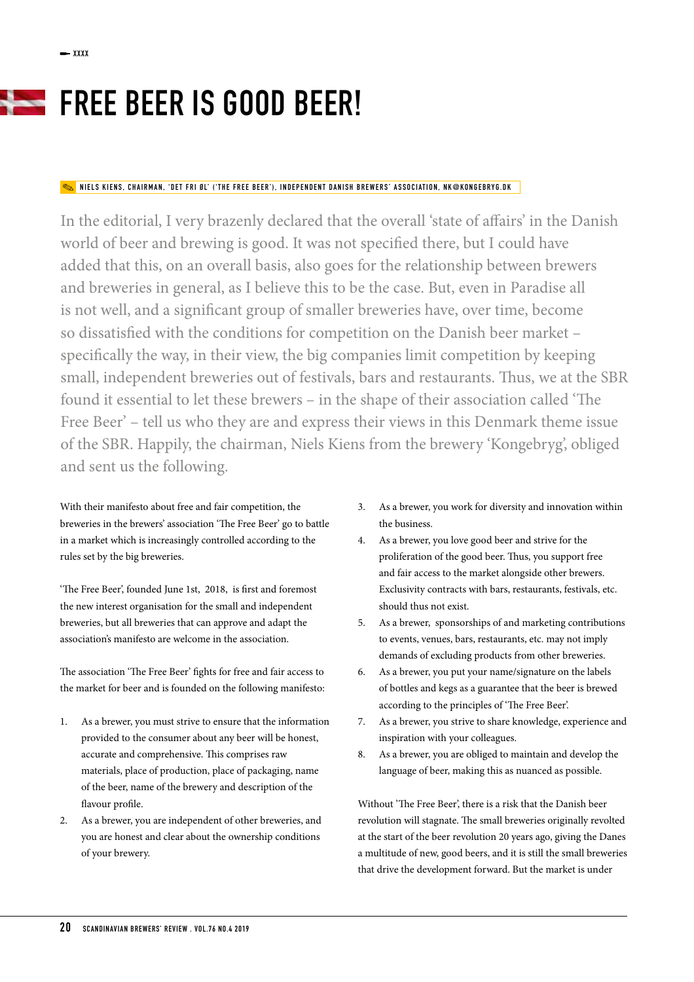## FREE BEER IS GOOD BEER!

## NIELS KIENS, CHAIRMAN, 'DET FRI ØL' ('THE FREE BEER'), INDEPENDENT DANISH BREWERS' ASSOCIATION, NK@KONGEBRYG.DK

In the editorial, I very brazenly declared that the overall 'state of affairs' in the Danish world of beer and brewing is good. It was not specifed there, but I could have added that this, on an overall basis, also goes for the relationship between brewers and breweries in general, as I believe this to be the case. But, even in Paradise all is not well, and a signifcant group of smaller breweries have, over time, become so dissatisfed with the conditions for competition on the Danish beer market – specifcally the way, in their view, the big companies limit competition by keeping small, independent breweries out of festivals, bars and restaurants. Thus, we at the SBR found it essential to let these brewers - in the shape of their association called 'The Free Beer' – tell us who they are and express their views in this Denmark theme issue of the SBR. Happily, the chairman, Niels Kiens from the brewery 'Kongebryg', obliged and sent us the following.

With their manifesto about free and fair competition, the breweries in the brewers' association 'The Free Beer' go to battle in a market which is increasingly controlled according to the rules set by the big breweries.

'The Free Beer', founded June 1st, 2018, is first and foremost the new interest organisation for the small and independent breweries, but all breweries that can approve and adapt the association's manifesto are welcome in the association.

The association 'The Free Beer' fights for free and fair access to the market for beer and is founded on the following manifesto:

- 1. As a brewer, you must strive to ensure that the information provided to the consumer about any beer will be honest, accurate and comprehensive. This comprises raw materials, place of production, place of packaging, name of the beer, name of the brewery and description of the favour profle.
- 2. As a brewer, you are independent of other breweries, and you are honest and clear about the ownership conditions of your brewery.
- 3. As a brewer, you work for diversity and innovation within the business.
- 4. As a brewer, you love good beer and strive for the proliferation of the good beer. Tus, you support free and fair access to the market alongside other brewers. Exclusivity contracts with bars, restaurants, festivals, etc. should thus not exist.
- 5. As a brewer, sponsorships of and marketing contributions to events, venues, bars, restaurants, etc. may not imply demands of excluding products from other breweries.
- 6. As a brewer, you put your name/signature on the labels of bottles and kegs as a guarantee that the beer is brewed according to the principles of 'The Free Beer'.
- 7. As a brewer, you strive to share knowledge, experience and inspiration with your colleagues.
- 8. As a brewer, you are obliged to maintain and develop the language of beer, making this as nuanced as possible.

Without 'The Free Beer', there is a risk that the Danish beer revolution will stagnate. The small breweries originally revolted at the start of the beer revolution 20 years ago, giving the Danes a multitude of new, good beers, and it is still the small breweries that drive the development forward. But the market is under